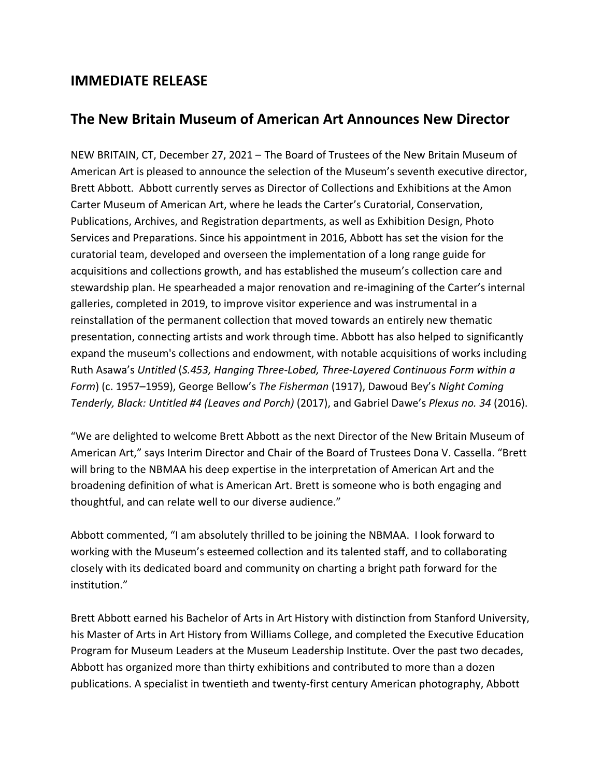## **IMMEDIATE RELEASE**

## **The New Britain Museum of American Art Announces New Director**

NEW BRITAIN, CT, December 27, 2021 – The Board of Trustees of the New Britain Museum of American Art is pleased to announce the selection of the Museum's seventh executive director, Brett Abbott. Abbott currently serves as Director of Collections and Exhibitions at the Amon Carter Museum of American Art, where he leads the Carter's Curatorial, Conservation, Publications, Archives, and Registration departments, as well as Exhibition Design, Photo Services and Preparations. Since his appointment in 2016, Abbott has set the vision for the curatorial team, developed and overseen the implementation of a long range guide for acquisitions and collections growth, and has established the museum's collection care and stewardship plan. He spearheaded a major renovation and re-imagining of the Carter's internal galleries, completed in 2019, to improve visitor experience and was instrumental in a reinstallation of the permanent collection that moved towards an entirely new thematic presentation, connecting artists and work through time. Abbott has also helped to significantly expand the museum's collections and endowment, with notable acquisitions of works including Ruth Asawa's *Untitled* (*S.453, Hanging Three-Lobed, Three-Layered Continuous Form within a Form*) (c. 1957–1959), George Bellow's *The Fisherman* (1917), Dawoud Bey's *Night Coming Tenderly, Black: Untitled #4 (Leaves and Porch)* (2017), and Gabriel Dawe's *Plexus no. 34* (2016).

"We are delighted to welcome Brett Abbott as the next Director of the New Britain Museum of American Art," says Interim Director and Chair of the Board of Trustees Dona V. Cassella. "Brett will bring to the NBMAA his deep expertise in the interpretation of American Art and the broadening definition of what is American Art. Brett is someone who is both engaging and thoughtful, and can relate well to our diverse audience."

Abbott commented, "I am absolutely thrilled to be joining the NBMAA. I look forward to working with the Museum's esteemed collection and its talented staff, and to collaborating closely with its dedicated board and community on charting a bright path forward for the institution."

Brett Abbott earned his Bachelor of Arts in Art History with distinction from Stanford University, his Master of Arts in Art History from Williams College, and completed the Executive Education Program for Museum Leaders at the Museum Leadership Institute. Over the past two decades, Abbott has organized more than thirty exhibitions and contributed to more than a dozen publications. A specialist in twentieth and twenty-first century American photography, Abbott